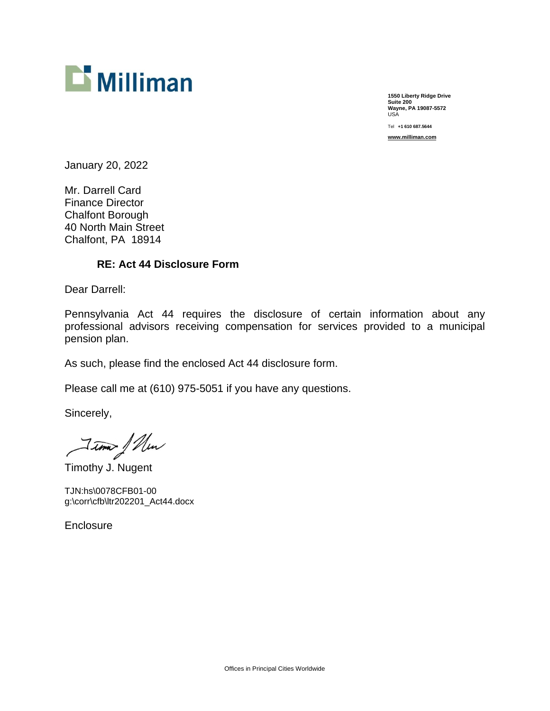

**1550 Liberty Ridge Drive Suite 200 Wayne, PA 19087-5572**  USA

Tel **+1 610 687.5644** 

**[www.milliman.com](http://www.milliman.com)**

January 20, 2022

Mr. Darrell Card Finance Director Chalfont Borough 40 North Main Street Chalfont, PA 18914

## **RE: Act 44 Disclosure Form**

Dear Darrell:

Pennsylvania Act 44 requires the disclosure of certain information about any professional advisors receiving compensation for services provided to a municipal pension plan.

As such, please find the enclosed Act 44 disclosure form.

Please call me at (610) 975-5051 if you have any questions.

Sincerely,

Timothy J. Nugent

TJN:hs\0078CFB01-00 g:\corr\cfb\ltr202201\_Act44.docx

**Enclosure**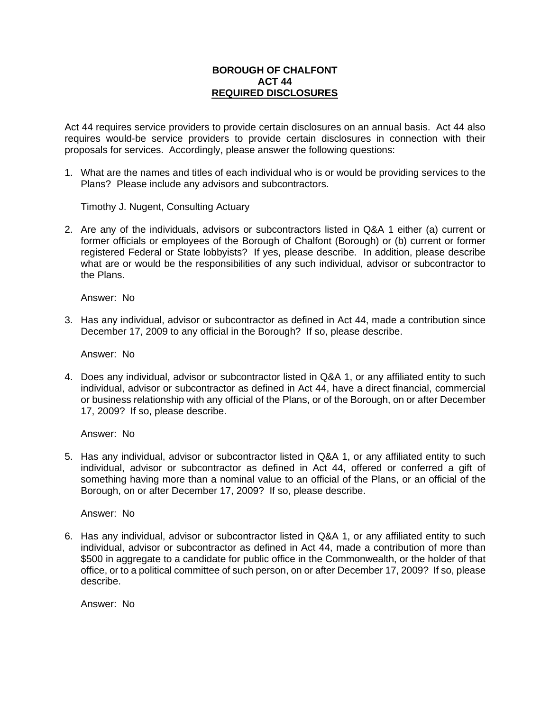## **BOROUGH OF CHALFONT ACT 44 REQUIRED DISCLOSURES**

Act 44 requires service providers to provide certain disclosures on an annual basis. Act 44 also requires would-be service providers to provide certain disclosures in connection with their proposals for services. Accordingly, please answer the following questions:

1. What are the names and titles of each individual who is or would be providing services to the Plans? Please include any advisors and subcontractors.

Timothy J. Nugent, Consulting Actuary

2. Are any of the individuals, advisors or subcontractors listed in Q&A 1 either (a) current or former officials or employees of the Borough of Chalfont (Borough) or (b) current or former registered Federal or State lobbyists? If yes, please describe. In addition, please describe what are or would be the responsibilities of any such individual, advisor or subcontractor to the Plans.

Answer: No

3. Has any individual, advisor or subcontractor as defined in Act 44, made a contribution since December 17, 2009 to any official in the Borough? If so, please describe.

Answer: No

4. Does any individual, advisor or subcontractor listed in Q&A 1, or any affiliated entity to such individual, advisor or subcontractor as defined in Act 44, have a direct financial, commercial or business relationship with any official of the Plans, or of the Borough, on or after December 17, 2009? If so, please describe.

Answer: No

5. Has any individual, advisor or subcontractor listed in Q&A 1, or any affiliated entity to such individual, advisor or subcontractor as defined in Act 44, offered or conferred a gift of something having more than a nominal value to an official of the Plans, or an official of the Borough, on or after December 17, 2009? If so, please describe.

Answer: No

6. Has any individual, advisor or subcontractor listed in Q&A 1, or any affiliated entity to such individual, advisor or subcontractor as defined in Act 44, made a contribution of more than \$500 in aggregate to a candidate for public office in the Commonwealth, or the holder of that office, or to a political committee of such person, on or after December 17, 2009? If so, please describe.

Answer: No